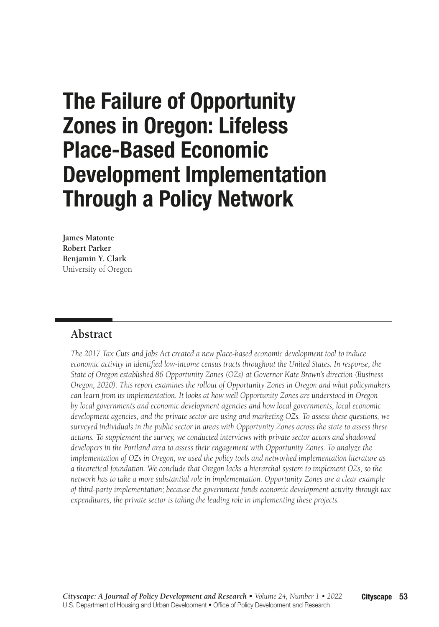# The Failure of Opportunity Zones in Oregon: Lifeless Place-Based Economic Development Implementation Through a Policy Network

**James Matonte Robert Parker Benjamin Y. Clark**  University of Oregon

### **Abstract**

*The 2017 Tax Cuts and Jobs Act created a new place-based economic development tool to induce economic activity in identified low-income census tracts throughout the United States. In response, the State of Oregon established 86 Opportunity Zones (OZs) at Governor Kate Brown's direction (Business Oregon, 2020). This report examines the rollout of Opportunity Zones in Oregon and what policymakers can learn from its implementation. It looks at how well Opportunity Zones are understood in Oregon by local governments and economic development agencies and how local governments, local economic development agencies, and the private sector are using and marketing OZs. To assess these questions, we surveyed individuals in the public sector in areas with Opportunity Zones across the state to assess these actions. To supplement the survey, we conducted interviews with private sector actors and shadowed developers in the Portland area to assess their engagement with Opportunity Zones. To analyze the implementation of OZs in Oregon, we used the policy tools and networked implementation literature as a theoretical foundation. We conclude that Oregon lacks a hierarchal system to implement OZs, so the network has to take a more substantial role in implementation. Opportunity Zones are a clear example of third-party implementation; because the government funds economic development activity through tax expenditures, the private sector is taking the leading role in implementing these projects.*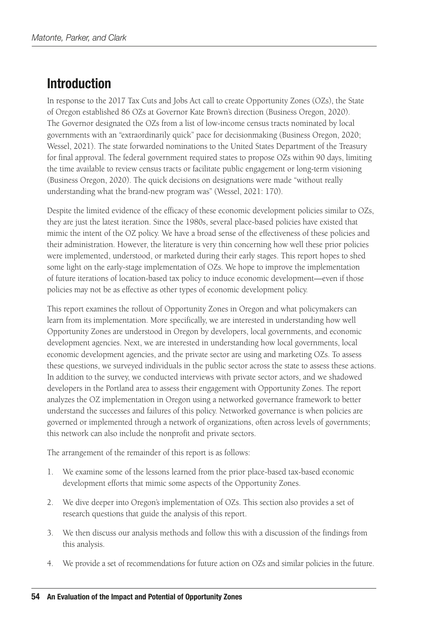# Introduction

In response to the 2017 Tax Cuts and Jobs Act call to create Opportunity Zones (OZs), the State of Oregon established 86 OZs at Governor Kate Brown's direction (Business Oregon, 2020). The Governor designated the OZs from a list of low-income census tracts nominated by local governments with an "extraordinarily quick" pace for decisionmaking (Business Oregon, 2020; Wessel, 2021). The state forwarded nominations to the United States Department of the Treasury for final approval. The federal government required states to propose OZs within 90 days, limiting the time available to review census tracts or facilitate public engagement or long-term visioning (Business Oregon, 2020). The quick decisions on designations were made "without really understanding what the brand-new program was" (Wessel, 2021: 170).

Despite the limited evidence of the efficacy of these economic development policies similar to OZs, they are just the latest iteration. Since the 1980s, several place-based policies have existed that mimic the intent of the OZ policy. We have a broad sense of the effectiveness of these policies and their administration. However, the literature is very thin concerning how well these prior policies were implemented, understood, or marketed during their early stages. This report hopes to shed some light on the early-stage implementation of OZs. We hope to improve the implementation of future iterations of location-based tax policy to induce economic development—even if those policies may not be as effective as other types of economic development policy.

This report examines the rollout of Opportunity Zones in Oregon and what policymakers can learn from its implementation. More specifically, we are interested in understanding how well Opportunity Zones are understood in Oregon by developers, local governments, and economic development agencies. Next, we are interested in understanding how local governments, local economic development agencies, and the private sector are using and marketing OZs. To assess these questions, we surveyed individuals in the public sector across the state to assess these actions. In addition to the survey, we conducted interviews with private sector actors, and we shadowed developers in the Portland area to assess their engagement with Opportunity Zones. The report analyzes the OZ implementation in Oregon using a networked governance framework to better understand the successes and failures of this policy. Networked governance is when policies are governed or implemented through a network of organizations, often across levels of governments; this network can also include the nonprofit and private sectors.

The arrangement of the remainder of this report is as follows:

- 1. We examine some of the lessons learned from the prior place-based tax-based economic development efforts that mimic some aspects of the Opportunity Zones.
- 2. We dive deeper into Oregon's implementation of OZs. This section also provides a set of research questions that guide the analysis of this report.
- 3. We then discuss our analysis methods and follow this with a discussion of the findings from this analysis.
- 4. We provide a set of recommendations for future action on OZs and similar policies in the future.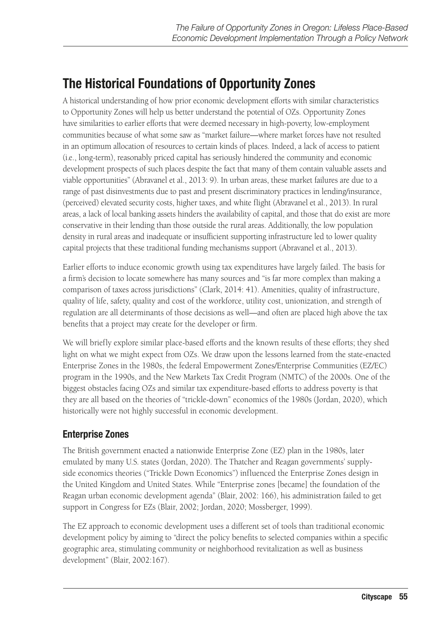# The Historical Foundations of Opportunity Zones

A historical understanding of how prior economic development efforts with similar characteristics to Opportunity Zones will help us better understand the potential of OZs. Opportunity Zones have similarities to earlier efforts that were deemed necessary in high-poverty, low-employment communities because of what some saw as "market failure—where market forces have not resulted in an optimum allocation of resources to certain kinds of places. Indeed, a lack of access to patient (i.e., long-term), reasonably priced capital has seriously hindered the community and economic development prospects of such places despite the fact that many of them contain valuable assets and viable opportunities" (Abravanel et al., 2013: 9). In urban areas, these market failures are due to a range of past disinvestments due to past and present discriminatory practices in lending/insurance, (perceived) elevated security costs, higher taxes, and white flight (Abravanel et al., 2013). In rural areas, a lack of local banking assets hinders the availability of capital, and those that do exist are more conservative in their lending than those outside the rural areas. Additionally, the low population density in rural areas and inadequate or insufficient supporting infrastructure led to lower quality capital projects that these traditional funding mechanisms support (Abravanel et al., 2013).

Earlier efforts to induce economic growth using tax expenditures have largely failed. The basis for a firm's decision to locate somewhere has many sources and "is far more complex than making a comparison of taxes across jurisdictions" (Clark, 2014: 41). Amenities, quality of infrastructure, quality of life, safety, quality and cost of the workforce, utility cost, unionization, and strength of regulation are all determinants of those decisions as well—and often are placed high above the tax benefits that a project may create for the developer or firm.

We will briefly explore similar place-based efforts and the known results of these efforts; they shed light on what we might expect from OZs. We draw upon the lessons learned from the state-enacted Enterprise Zones in the 1980s, the federal Empowerment Zones/Enterprise Communities (EZ/EC) program in the 1990s, and the New Markets Tax Credit Program (NMTC) of the 2000s. One of the biggest obstacles facing OZs and similar tax expenditure-based efforts to address poverty is that they are all based on the theories of "trickle-down" economics of the 1980s (Jordan, 2020), which historically were not highly successful in economic development.

### Enterprise Zones

The British government enacted a nationwide Enterprise Zone (EZ) plan in the 1980s, later emulated by many U.S. states (Jordan, 2020). The Thatcher and Reagan governments' supplyside economics theories ("Trickle Down Economics") influenced the Enterprise Zones design in the United Kingdom and United States. While "Enterprise zones [became] the foundation of the Reagan urban economic development agenda" (Blair, 2002: 166), his administration failed to get support in Congress for EZs (Blair, 2002; Jordan, 2020; Mossberger, 1999).

The EZ approach to economic development uses a different set of tools than traditional economic development policy by aiming to "direct the policy benefits to selected companies within a specific geographic area, stimulating community or neighborhood revitalization as well as business development" (Blair, 2002:167).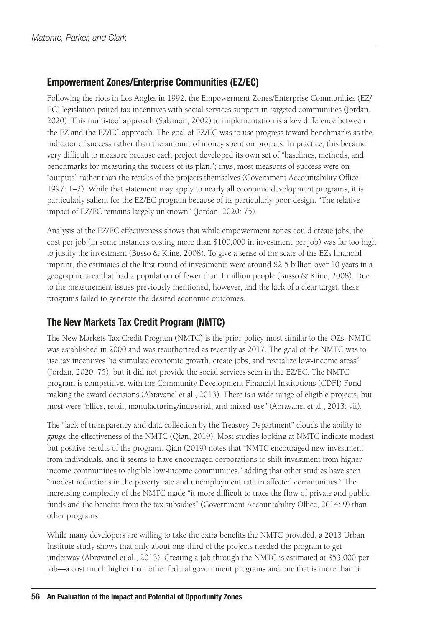### Empowerment Zones/Enterprise Communities (EZ/EC)

Following the riots in Los Angles in 1992, the Empowerment Zones/Enterprise Communities (EZ/ EC) legislation paired tax incentives with social services support in targeted communities (Jordan, 2020). This multi-tool approach (Salamon, 2002) to implementation is a key difference between the EZ and the EZ/EC approach. The goal of EZ/EC was to use progress toward benchmarks as the indicator of success rather than the amount of money spent on projects. In practice, this became very difficult to measure because each project developed its own set of "baselines, methods, and benchmarks for measuring the success of its plan."; thus, most measures of success were on "outputs" rather than the results of the projects themselves (Government Accountability Office, 1997: 1–2). While that statement may apply to nearly all economic development programs, it is particularly salient for the EZ/EC program because of its particularly poor design. "The relative impact of EZ/EC remains largely unknown" (Jordan, 2020: 75).

Analysis of the EZ/EC effectiveness shows that while empowerment zones could create jobs, the cost per job (in some instances costing more than \$100,000 in investment per job) was far too high to justify the investment (Busso & Kline, 2008). To give a sense of the scale of the EZs financial imprint, the estimates of the first round of investments were around \$2.5 billion over 10 years in a geographic area that had a population of fewer than 1 million people (Busso & Kline, 2008). Due to the measurement issues previously mentioned, however, and the lack of a clear target, these programs failed to generate the desired economic outcomes.

### The New Markets Tax Credit Program (NMTC)

The New Markets Tax Credit Program (NMTC) is the prior policy most similar to the OZs. NMTC was established in 2000 and was reauthorized as recently as 2017. The goal of the NMTC was to use tax incentives "to stimulate economic growth, create jobs, and revitalize low-income areas" (Jordan, 2020: 75), but it did not provide the social services seen in the EZ/EC. The NMTC program is competitive, with the Community Development Financial Institutions (CDFI) Fund making the award decisions (Abravanel et al., 2013). There is a wide range of eligible projects, but most were "office, retail, manufacturing/industrial, and mixed-use" (Abravanel et al., 2013: vii).

The "lack of transparency and data collection by the Treasury Department" clouds the ability to gauge the effectiveness of the NMTC (Qian, 2019). Most studies looking at NMTC indicate modest but positive results of the program. Qian (2019) notes that "NMTC encouraged new investment from individuals, and it seems to have encouraged corporations to shift investment from higher income communities to eligible low-income communities," adding that other studies have seen "modest reductions in the poverty rate and unemployment rate in affected communities." The increasing complexity of the NMTC made "it more difficult to trace the flow of private and public funds and the benefits from the tax subsidies" (Government Accountability Office, 2014: 9) than other programs.

While many developers are willing to take the extra benefits the NMTC provided, a 2013 Urban Institute study shows that only about one-third of the projects needed the program to get underway (Abravanel et al., 2013). Creating a job through the NMTC is estimated at \$53,000 per job—a cost much higher than other federal government programs and one that is more than 3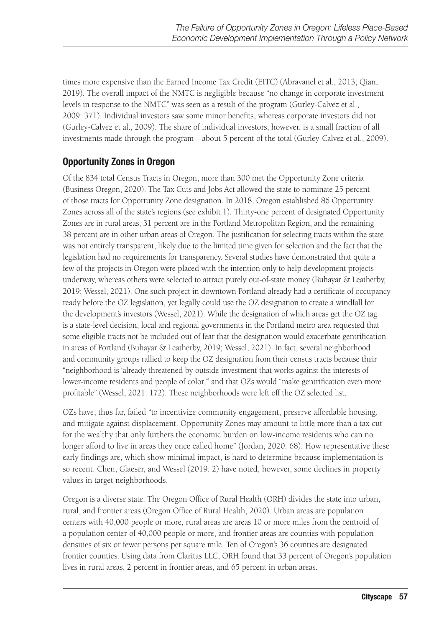times more expensive than the Earned Income Tax Credit (EITC) (Abravanel et al., 2013; Qian, 2019). The overall impact of the NMTC is negligible because "no change in corporate investment levels in response to the NMTC" was seen as a result of the program (Gurley-Calvez et al., 2009: 371). Individual investors saw some minor benefits, whereas corporate investors did not (Gurley-Calvez et al., 2009). The share of individual investors, however, is a small fraction of all investments made through the program—about 5 percent of the total (Gurley-Calvez et al., 2009).

### Opportunity Zones in Oregon

Of the 834 total Census Tracts in Oregon, more than 300 met the Opportunity Zone criteria (Business Oregon, 2020). The Tax Cuts and Jobs Act allowed the state to nominate 25 percent of those tracts for Opportunity Zone designation. In 2018, Oregon established 86 Opportunity Zones across all of the state's regions (see exhibit 1). Thirty-one percent of designated Opportunity Zones are in rural areas, 31 percent are in the Portland Metropolitan Region, and the remaining 38 percent are in other urban areas of Oregon. The justification for selecting tracts within the state was not entirely transparent, likely due to the limited time given for selection and the fact that the legislation had no requirements for transparency. Several studies have demonstrated that quite a few of the projects in Oregon were placed with the intention only to help development projects underway, whereas others were selected to attract purely out-of-state money (Buhayar & Leatherby, 2019; Wessel, 2021). One such project in downtown Portland already had a certificate of occupancy ready before the OZ legislation, yet legally could use the OZ designation to create a windfall for the development's investors (Wessel, 2021). While the designation of which areas get the OZ tag is a state-level decision, local and regional governments in the Portland metro area requested that some eligible tracts not be included out of fear that the designation would exacerbate gentrification in areas of Portland (Buhayar & Leatherby, 2019; Wessel, 2021). In fact, several neighborhood and community groups rallied to keep the OZ designation from their census tracts because their "neighborhood is 'already threatened by outside investment that works against the interests of lower-income residents and people of color,"" and that OZs would "make gentrification even more profitable" (Wessel, 2021: 172). These neighborhoods were left off the OZ selected list.

OZs have, thus far, failed "to incentivize community engagement, preserve affordable housing, and mitigate against displacement. Opportunity Zones may amount to little more than a tax cut for the wealthy that only furthers the economic burden on low-income residents who can no longer afford to live in areas they once called home" (Jordan, 2020: 68). How representative these early findings are, which show minimal impact, is hard to determine because implementation is so recent. Chen, Glaeser, and Wessel (2019: 2) have noted, however, some declines in property values in target neighborhoods.

Oregon is a diverse state. The Oregon Office of Rural Health (ORH) divides the state into urban, rural, and frontier areas (Oregon Office of Rural Health, 2020). Urban areas are population centers with 40,000 people or more, rural areas are areas 10 or more miles from the centroid of a population center of 40,000 people or more, and frontier areas are counties with population densities of six or fewer persons per square mile. Ten of Oregon's 36 counties are designated frontier counties. Using data from Claritas LLC, ORH found that 33 percent of Oregon's population lives in rural areas, 2 percent in frontier areas, and 65 percent in urban areas.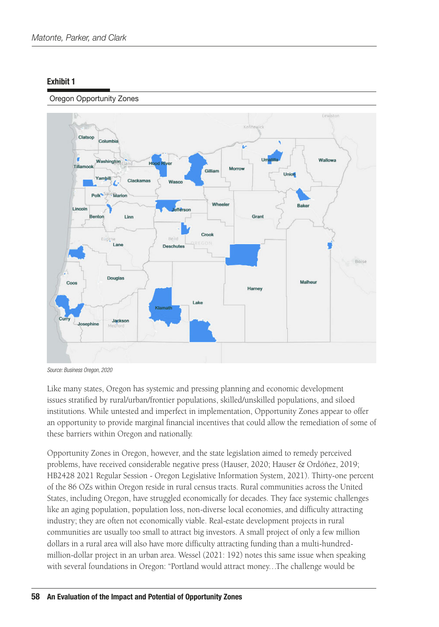#### Oregon Opportunity Zones



*Source: Business Oregon, 2020*

Like many states, Oregon has systemic and pressing planning and economic development issues stratified by rural/urban/frontier populations, skilled/unskilled populations, and siloed institutions. While untested and imperfect in implementation, Opportunity Zones appear to offer an opportunity to provide marginal financial incentives that could allow the remediation of some of these barriers within Oregon and nationally.

Opportunity Zones in Oregon, however, and the state legislation aimed to remedy perceived problems, have received considerable negative press (Hauser, 2020; Hauser & Ordóñez, 2019; HB2428 2021 Regular Session - Oregon Legislative Information System, 2021). Thirty-one percent of the 86 OZs within Oregon reside in rural census tracts. Rural communities across the United States, including Oregon, have struggled economically for decades. They face systemic challenges like an aging population, population loss, non-diverse local economies, and difficulty attracting industry; they are often not economically viable. Real-estate development projects in rural communities are usually too small to attract big investors. A small project of only a few million dollars in a rural area will also have more difficulty attracting funding than a multi-hundredmillion-dollar project in an urban area. Wessel (2021: 192) notes this same issue when speaking with several foundations in Oregon: "Portland would attract money…The challenge would be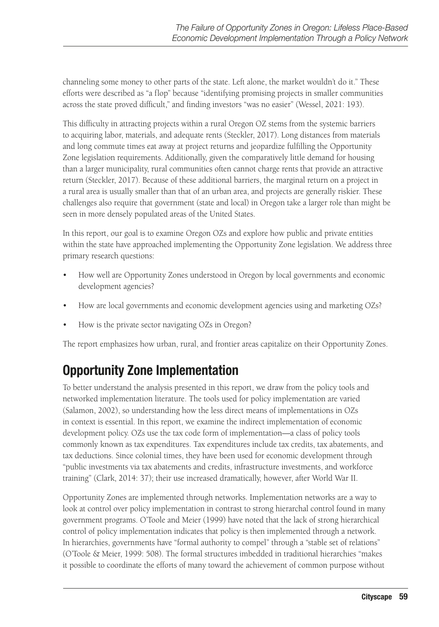channeling some money to other parts of the state. Left alone, the market wouldn't do it." These efforts were described as "a flop" because "identifying promising projects in smaller communities across the state proved difficult," and finding investors "was no easier" (Wessel, 2021: 193).

This difficulty in attracting projects within a rural Oregon OZ stems from the systemic barriers to acquiring labor, materials, and adequate rents (Steckler, 2017). Long distances from materials and long commute times eat away at project returns and jeopardize fulfilling the Opportunity Zone legislation requirements. Additionally, given the comparatively little demand for housing than a larger municipality, rural communities often cannot charge rents that provide an attractive return (Steckler, 2017). Because of these additional barriers, the marginal return on a project in a rural area is usually smaller than that of an urban area, and projects are generally riskier. These challenges also require that government (state and local) in Oregon take a larger role than might be seen in more densely populated areas of the United States.

In this report, our goal is to examine Oregon OZs and explore how public and private entities within the state have approached implementing the Opportunity Zone legislation. We address three primary research questions:

- How well are Opportunity Zones understood in Oregon by local governments and economic development agencies?
- How are local governments and economic development agencies using and marketing OZs?
- How is the private sector navigating OZs in Oregon?

The report emphasizes how urban, rural, and frontier areas capitalize on their Opportunity Zones.

# Opportunity Zone Implementation

To better understand the analysis presented in this report, we draw from the policy tools and networked implementation literature. The tools used for policy implementation are varied (Salamon, 2002), so understanding how the less direct means of implementations in OZs in context is essential. In this report, we examine the indirect implementation of economic development policy. OZs use the tax code form of implementation—a class of policy tools commonly known as tax expenditures. Tax expenditures include tax credits, tax abatements, and tax deductions. Since colonial times, they have been used for economic development through "public investments via tax abatements and credits, infrastructure investments, and workforce training" (Clark, 2014: 37); their use increased dramatically, however, after World War II.

Opportunity Zones are implemented through networks. Implementation networks are a way to look at control over policy implementation in contrast to strong hierarchal control found in many government programs. O'Toole and Meier (1999) have noted that the lack of strong hierarchical control of policy implementation indicates that policy is then implemented through a network. In hierarchies, governments have "formal authority to compel" through a "stable set of relations" (O'Toole & Meier, 1999: 508). The formal structures imbedded in traditional hierarchies "makes it possible to coordinate the efforts of many toward the achievement of common purpose without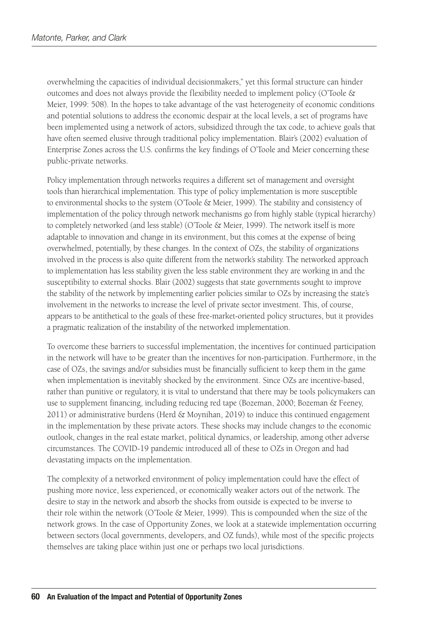overwhelming the capacities of individual decisionmakers," yet this formal structure can hinder outcomes and does not always provide the flexibility needed to implement policy (O'Toole & Meier, 1999: 508). In the hopes to take advantage of the vast heterogeneity of economic conditions and potential solutions to address the economic despair at the local levels, a set of programs have been implemented using a network of actors, subsidized through the tax code, to achieve goals that have often seemed elusive through traditional policy implementation. Blair's (2002) evaluation of Enterprise Zones across the U.S. confirms the key findings of O'Toole and Meier concerning these public-private networks.

Policy implementation through networks requires a different set of management and oversight tools than hierarchical implementation. This type of policy implementation is more susceptible to environmental shocks to the system (O'Toole & Meier, 1999). The stability and consistency of implementation of the policy through network mechanisms go from highly stable (typical hierarchy) to completely networked (and less stable) (O'Toole & Meier, 1999). The network itself is more adaptable to innovation and change in its environment, but this comes at the expense of being overwhelmed, potentially, by these changes. In the context of OZs, the stability of organizations involved in the process is also quite different from the network's stability. The networked approach to implementation has less stability given the less stable environment they are working in and the susceptibility to external shocks. Blair (2002) suggests that state governments sought to improve the stability of the network by implementing earlier policies similar to OZs by increasing the state's involvement in the networks to increase the level of private sector investment. This, of course, appears to be antithetical to the goals of these free-market-oriented policy structures, but it provides a pragmatic realization of the instability of the networked implementation.

To overcome these barriers to successful implementation, the incentives for continued participation in the network will have to be greater than the incentives for non-participation. Furthermore, in the case of OZs, the savings and/or subsidies must be financially sufficient to keep them in the game when implementation is inevitably shocked by the environment. Since OZs are incentive-based, rather than punitive or regulatory, it is vital to understand that there may be tools policymakers can use to supplement financing, including reducing red tape (Bozeman, 2000; Bozeman & Feeney, 2011) or administrative burdens (Herd & Moynihan, 2019) to induce this continued engagement in the implementation by these private actors. These shocks may include changes to the economic outlook, changes in the real estate market, political dynamics, or leadership, among other adverse circumstances. The COVID-19 pandemic introduced all of these to OZs in Oregon and had devastating impacts on the implementation.

The complexity of a networked environment of policy implementation could have the effect of pushing more novice, less experienced, or economically weaker actors out of the network. The desire to stay in the network and absorb the shocks from outside is expected to be inverse to their role within the network (O'Toole & Meier, 1999). This is compounded when the size of the network grows. In the case of Opportunity Zones, we look at a statewide implementation occurring between sectors (local governments, developers, and OZ funds), while most of the specific projects themselves are taking place within just one or perhaps two local jurisdictions.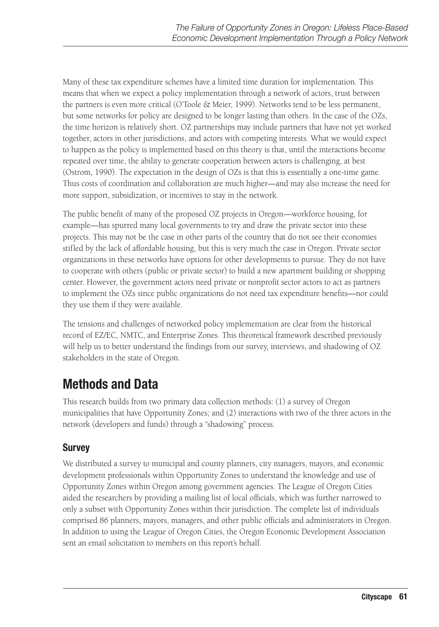Many of these tax expenditure schemes have a limited time duration for implementation. This means that when we expect a policy implementation through a network of actors, trust between the partners is even more critical (O'Toole & Meier, 1999). Networks tend to be less permanent, but some networks for policy are designed to be longer lasting than others. In the case of the OZs, the time horizon is relatively short. OZ partnerships may include partners that have not yet worked together, actors in other jurisdictions, and actors with competing interests. What we would expect to happen as the policy is implemented based on this theory is that, until the interactions become repeated over time, the ability to generate cooperation between actors is challenging, at best (Ostrom, 1990). The expectation in the design of OZs is that this is essentially a one-time game. Thus costs of coordination and collaboration are much higher—and may also increase the need for more support, subsidization, or incentives to stay in the network.

The public benefit of many of the proposed OZ projects in Oregon—workforce housing, for example—has spurred many local governments to try and draw the private sector into these projects. This may not be the case in other parts of the country that do not see their economies stifled by the lack of affordable housing, but this is very much the case in Oregon. Private sector organizations in these networks have options for other developments to pursue. They do not have to cooperate with others (public or private sector) to build a new apartment building or shopping center. However, the government actors need private or nonprofit sector actors to act as partners to implement the OZs since public organizations do not need tax expenditure benefits—nor could they use them if they were available.

The tensions and challenges of networked policy implementation are clear from the historical record of EZ/EC, NMTC, and Enterprise Zones. This theoretical framework described previously will help us to better understand the findings from our survey, interviews, and shadowing of OZ stakeholders in the state of Oregon.

# Methods and Data

This research builds from two primary data collection methods: (1) a survey of Oregon municipalities that have Opportunity Zones; and (2) interactions with two of the three actors in the network (developers and funds) through a "shadowing" process.

### Survey

We distributed a survey to municipal and county planners, city managers, mayors, and economic development professionals within Opportunity Zones to understand the knowledge and use of Opportunity Zones within Oregon among government agencies. The League of Oregon Cities aided the researchers by providing a mailing list of local officials, which was further narrowed to only a subset with Opportunity Zones within their jurisdiction. The complete list of individuals comprised 86 planners, mayors, managers, and other public officials and administrators in Oregon. In addition to using the League of Oregon Cities, the Oregon Economic Development Association sent an email solicitation to members on this report's behalf.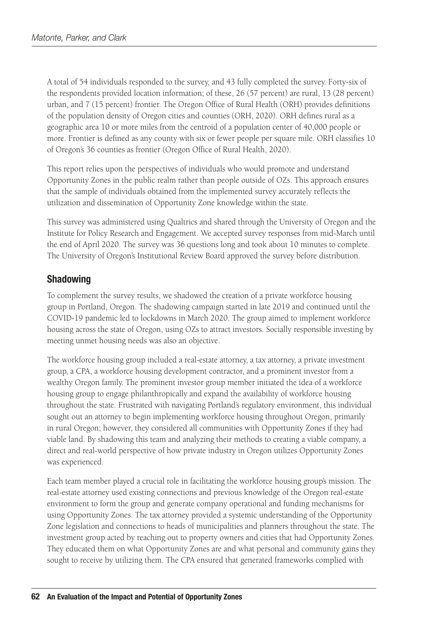A total of 54 individuals responded to the survey, and 43 fully completed the survey. Forty-six of the respondents provided location information; of these, 26 (57 percent) are rural, 13 (28 percent) urban, and 7 (15 percent) frontier. The Oregon Office of Rural Health (ORH) provides definitions of the population density of Oregon cities and counties (ORH, 2020). ORH defines rural as a geographic area 10 or more miles from the centroid of a population center of 40,000 people or more. Frontier is defined as any county with six or fewer people per square mile. ORH classifies 10 of Oregon's 36 counties as frontier (Oregon Office of Rural Health, 2020).

This report relies upon the perspectives of individuals who would promote and understand Opportunity Zones in the public realm rather than people outside of OZs. This approach ensures that the sample of individuals obtained from the implemented survey accurately reflects the utilization and dissemination of Opportunity Zone knowledge within the state.

This survey was administered using Qualtrics and shared through the University of Oregon and the Institute for Policy Research and Engagement. We accepted survey responses from mid-March until the end of April 2020. The survey was 36 questions long and took about 10 minutes to complete. The University of Oregon's Institutional Review Board approved the survey before distribution.

### Shadowing

To complement the survey results, we shadowed the creation of a private workforce housing group in Portland, Oregon. The shadowing campaign started in late 2019 and continued until the COVID-19 pandemic led to lockdowns in March 2020. The group aimed to implement workforce housing across the state of Oregon, using OZs to attract investors. Socially responsible investing by meeting unmet housing needs was also an objective.

The workforce housing group included a real-estate attorney, a tax attorney, a private investment group, a CPA, a workforce housing development contractor, and a prominent investor from a wealthy Oregon family. The prominent investor group member initiated the idea of a workforce housing group to engage philanthropically and expand the availability of workforce housing throughout the state. Frustrated with navigating Portland's regulatory environment, this individual sought out an attorney to begin implementing workforce housing throughout Oregon, primarily in rural Oregon; however, they considered all communities with Opportunity Zones if they had viable land. By shadowing this team and analyzing their methods to creating a viable company, a direct and real-world perspective of how private industry in Oregon utilizes Opportunity Zones was experienced.

Each team member played a crucial role in facilitating the workforce housing group's mission. The real-estate attorney used existing connections and previous knowledge of the Oregon real-estate environment to form the group and generate company operational and funding mechanisms for using Opportunity Zones. The tax attorney provided a systemic understanding of the Opportunity Zone legislation and connections to heads of municipalities and planners throughout the state. The investment group acted by reaching out to property owners and cities that had Opportunity Zones. They educated them on what Opportunity Zones are and what personal and community gains they sought to receive by utilizing them. The CPA ensured that generated frameworks complied with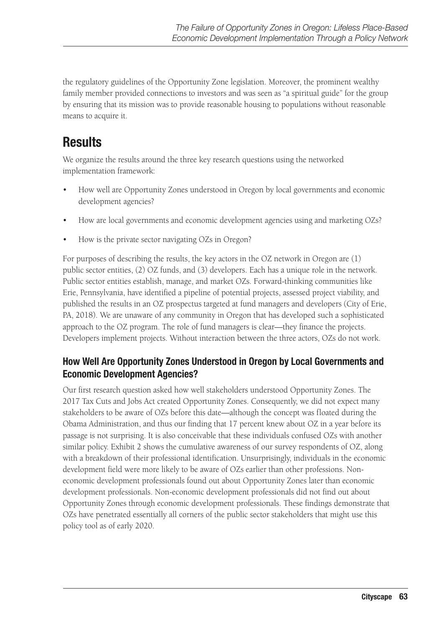the regulatory guidelines of the Opportunity Zone legislation. Moreover, the prominent wealthy family member provided connections to investors and was seen as "a spiritual guide" for the group by ensuring that its mission was to provide reasonable housing to populations without reasonable means to acquire it.

## **Results**

We organize the results around the three key research questions using the networked implementation framework:

- How well are Opportunity Zones understood in Oregon by local governments and economic development agencies?
- How are local governments and economic development agencies using and marketing OZs?
- How is the private sector navigating OZs in Oregon?

For purposes of describing the results, the key actors in the OZ network in Oregon are (1) public sector entities, (2) OZ funds, and (3) developers. Each has a unique role in the network. Public sector entities establish, manage, and market OZs. Forward-thinking communities like Erie, Pennsylvania, have identified a pipeline of potential projects, assessed project viability, and published the results in an OZ prospectus targeted at fund managers and developers (City of Erie, PA, 2018). We are unaware of any community in Oregon that has developed such a sophisticated approach to the OZ program. The role of fund managers is clear—they finance the projects. Developers implement projects. Without interaction between the three actors, OZs do not work.

### How Well Are Opportunity Zones Understood in Oregon by Local Governments and Economic Development Agencies?

Our first research question asked how well stakeholders understood Opportunity Zones. The 2017 Tax Cuts and Jobs Act created Opportunity Zones. Consequently, we did not expect many stakeholders to be aware of OZs before this date—although the concept was floated during the Obama Administration, and thus our finding that 17 percent knew about OZ in a year before its passage is not surprising. It is also conceivable that these individuals confused OZs with another similar polic[y. Exhibit 2 s](#page-11-0)hows the cumulative awareness of our survey respondents of OZ, along with a breakdown of their professional identification. Unsurprisingly, individuals in the economic development field were more likely to be aware of OZs earlier than other professions. Noneconomic development professionals found out about Opportunity Zones later than economic development professionals. Non-economic development professionals did not find out about Opportunity Zones through economic development professionals. These findings demonstrate that OZs have penetrated essentially all corners of the public sector stakeholders that might use this policy tool as of early 2020.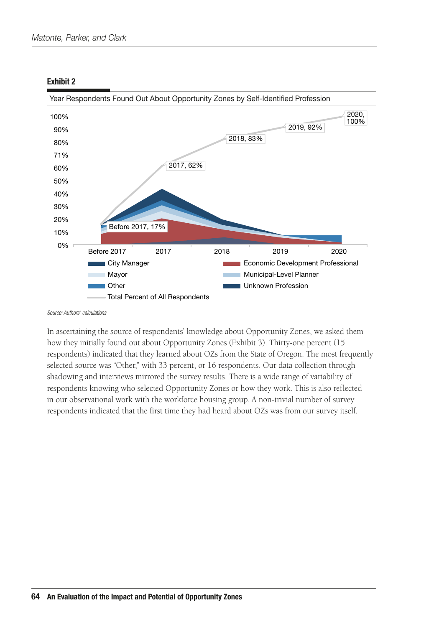<span id="page-11-0"></span>

*Source: Authors' calculations*

In ascertaining the source of respondents' knowledge about Opportunity Zones, we asked them how they initially found out about Opportunity Zones (Exhibit 3). Thirty-one percent (15 respondents) indicated that they learned about OZs from the State of Oregon. The most frequently selected source was "Other," with 33 percent, or 16 respondents. Our data collection through shadowing and interviews mirrored the survey results. There is a wide range of variability of respondents knowing who selected Opportunity Zones or how they work. This is also reflected in our observational work with the workforce housing group. A non-trivial number of survey respondents indicated that the first time they had heard about OZs was from our survey itself.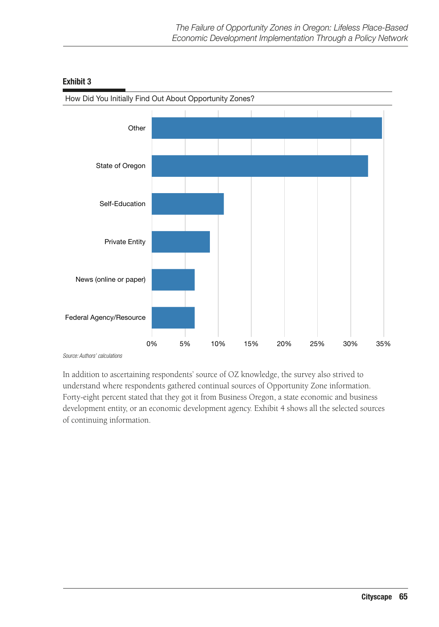

In addition to ascertaining respondents' source of OZ knowledge, the survey also strived to understand where respondents gathered continual sources of Opportunity Zone information. Forty-eight percent stated that they got it from Business Oregon, a state economic and business development entity, or an economic development agency. Exhibit 4 shows all the selected sources of continuing information.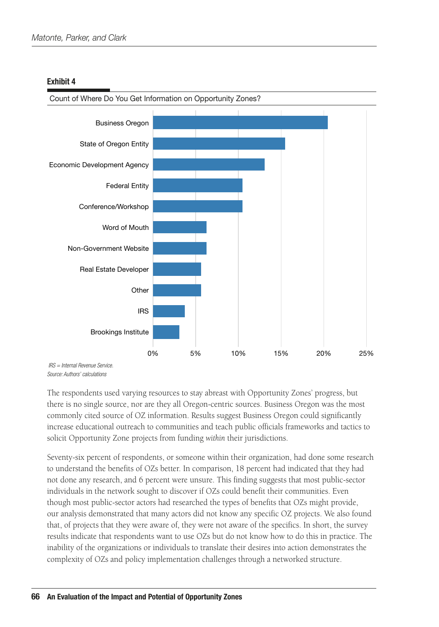

*Source: Authors' calculations*

The respondents used varying resources to stay abreast with Opportunity Zones' progress, but there is no single source, nor are they all Oregon-centric sources. Business Oregon was the most commonly cited source of OZ information. Results suggest Business Oregon could significantly increase educational outreach to communities and teach public officials frameworks and tactics to solicit Opportunity Zone projects from funding *within* their jurisdictions.

Seventy-six percent of respondents, or someone within their organization, had done some research to understand the benefits of OZs better. In comparison, 18 percent had indicated that they had not done any research, and 6 percent were unsure. This finding suggests that most public-sector individuals in the network sought to discover if OZs could benefit their communities. Even though most public-sector actors had researched the types of benefits that OZs might provide, our analysis demonstrated that many actors did not know any specific OZ projects. We also found that, of projects that they were aware of, they were not aware of the specifics. In short, the survey results indicate that respondents want to use OZs but do not know how to do this in practice. The inability of the organizations or individuals to translate their desires into action demonstrates the complexity of OZs and policy implementation challenges through a networked structure.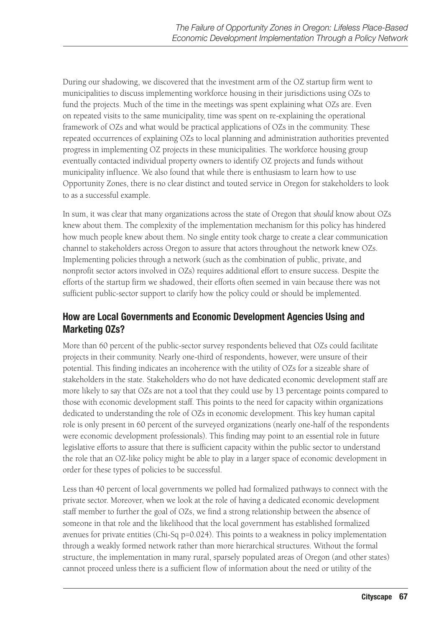During our shadowing, we discovered that the investment arm of the OZ startup firm went to municipalities to discuss implementing workforce housing in their jurisdictions using OZs to fund the projects. Much of the time in the meetings was spent explaining what OZs are. Even on repeated visits to the same municipality, time was spent on re-explaining the operational framework of OZs and what would be practical applications of OZs in the community. These repeated occurrences of explaining OZs to local planning and administration authorities prevented progress in implementing OZ projects in these municipalities. The workforce housing group eventually contacted individual property owners to identify OZ projects and funds without municipality influence. We also found that while there is enthusiasm to learn how to use Opportunity Zones, there is no clear distinct and touted service in Oregon for stakeholders to look to as a successful example.

In sum, it was clear that many organizations across the state of Oregon that *should* know about OZs knew about them. The complexity of the implementation mechanism for this policy has hindered how much people knew about them. No single entity took charge to create a clear communication channel to stakeholders across Oregon to assure that actors throughout the network knew OZs. Implementing policies through a network (such as the combination of public, private, and nonprofit sector actors involved in OZs) requires additional effort to ensure success. Despite the efforts of the startup firm we shadowed, their efforts often seemed in vain because there was not sufficient public-sector support to clarify how the policy could or should be implemented.

### How are Local Governments and Economic Development Agencies Using and Marketing OZs?

More than 60 percent of the public-sector survey respondents believed that OZs could facilitate projects in their community. Nearly one-third of respondents, however, were unsure of their potential. This finding indicates an incoherence with the utility of OZs for a sizeable share of stakeholders in the state. Stakeholders who do not have dedicated economic development staff are more likely to say that OZs are not a tool that they could use by 13 percentage points compared to those with economic development staff. This points to the need for capacity within organizations dedicated to understanding the role of OZs in economic development. This key human capital role is only present in 60 percent of the surveyed organizations (nearly one-half of the respondents were economic development professionals). This finding may point to an essential role in future legislative efforts to assure that there is sufficient capacity within the public sector to understand the role that an OZ-like policy might be able to play in a larger space of economic development in order for these types of policies to be successful.

Less than 40 percent of local governments we polled had formalized pathways to connect with the private sector. Moreover, when we look at the role of having a dedicated economic development staff member to further the goal of OZs, we find a strong relationship between the absence of someone in that role and the likelihood that the local government has established formalized avenues for private entities (Chi-Sq p=0.024). This points to a weakness in policy implementation through a weakly formed network rather than more hierarchical structures. Without the formal structure, the implementation in many rural, sparsely populated areas of Oregon (and other states) cannot proceed unless there is a sufficient flow of information about the need or utility of the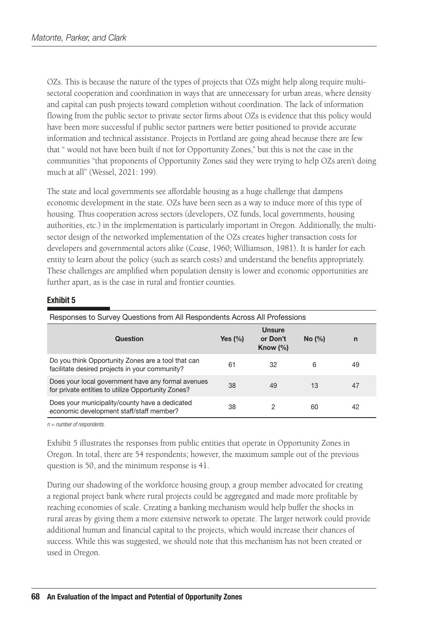OZs. This is because the nature of the types of projects that OZs might help along require multisectoral cooperation and coordination in ways that are unnecessary for urban areas, where density and capital can push projects toward completion without coordination. The lack of information flowing from the public sector to private sector firms about OZs is evidence that this policy would have been more successful if public sector partners were better positioned to provide accurate information and technical assistance. Projects in Portland are going ahead because there are few that " would not have been built if not for Opportunity Zones," but this is not the case in the communities "that proponents of Opportunity Zones said they were trying to help OZs aren't doing much at all" (Wessel, 2021: 199).

The state and local governments see affordable housing as a huge challenge that dampens economic development in the state. OZs have been seen as a way to induce more of this type of housing. Thus cooperation across sectors (developers, OZ funds, local governments, housing authorities, etc.) in the implementation is particularly important in Oregon. Additionally, the multisector design of the networked implementation of the OZs creates higher transaction costs for developers and governmental actors alike (Coase, 1960; Williamson, 1981). It is harder for each entity to learn about the policy (such as search costs) and understand the benefits appropriately. These challenges are amplified when population density is lower and economic opportunities are further apart, as is the case in rural and frontier counties.

#### Exhibit 5

| Responses to Survey Questions from All Respondents Across All Professions                                |             |                                   |        |    |
|----------------------------------------------------------------------------------------------------------|-------------|-----------------------------------|--------|----|
| Question                                                                                                 | Yes $(\% )$ | Unsure<br>or Don't<br>Know $(\%)$ | No (%) | n  |
| Do you think Opportunity Zones are a tool that can<br>facilitate desired projects in your community?     | 61          | 32                                | 6      | 49 |
| Does your local government have any formal avenues<br>for private entities to utilize Opportunity Zones? | 38          | 49                                | 13     | 47 |
| Does your municipality/county have a dedicated<br>economic development staff/staff member?               | 38          | 2                                 | 60     | 42 |

*n = number of respondents.*

Exhibit 5 illustrates the responses from public entities that operate in Opportunity Zones in Oregon. In total, there are 54 respondents; however, the maximum sample out of the previous question is 50, and the minimum response is 41.

During our shadowing of the workforce housing group, a group member advocated for creating a regional project bank where rural projects could be aggregated and made more profitable by reaching economies of scale. Creating a banking mechanism would help buffer the shocks in rural areas by giving them a more extensive network to operate. The larger network could provide additional human and financial capital to the projects, which would increase their chances of success. While this was suggested, we should note that this mechanism has not been created or used in Oregon.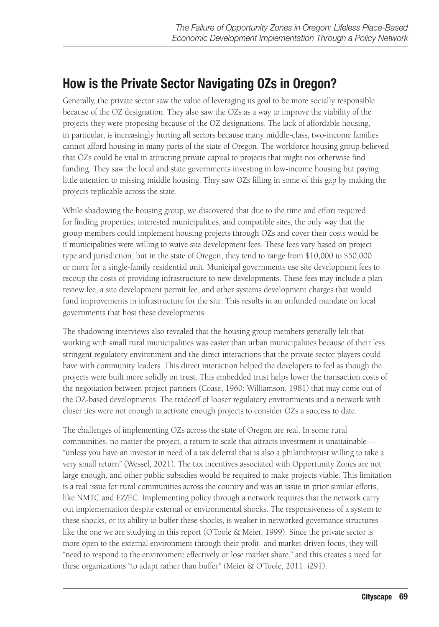# How is the Private Sector Navigating OZs in Oregon?

Generally, the private sector saw the value of leveraging its goal to be more socially responsible because of the OZ designation. They also saw the OZs as a way to improve the viability of the projects they were proposing because of the OZ designations. The lack of affordable housing, in particular, is increasingly hurting all sectors because many middle-class, two-income families cannot afford housing in many parts of the state of Oregon. The workforce housing group believed that OZs could be vital in attracting private capital to projects that might not otherwise find funding. They saw the local and state governments investing in low-income housing but paying little attention to missing middle housing. They saw OZs filling in some of this gap by making the projects replicable across the state.

While shadowing the housing group, we discovered that due to the time and effort required for finding properties, interested municipalities, and compatible sites, the only way that the group members could implement housing projects through OZs and cover their costs would be if municipalities were willing to waive site development fees. These fees vary based on project type and jurisdiction, but in the state of Oregon, they tend to range from \$10,000 to \$50,000 or more for a single-family residential unit. Municipal governments use site development fees to recoup the costs of providing infrastructure to new developments. These fees may include a plan review fee, a site development permit fee, and other systems development charges that would fund improvements in infrastructure for the site. This results in an unfunded mandate on local governments that host these developments.

The shadowing interviews also revealed that the housing group members generally felt that working with small rural municipalities was easier than urban municipalities because of their less stringent regulatory environment and the direct interactions that the private sector players could have with community leaders. This direct interaction helped the developers to feel as though the projects were built more solidly on trust. This embedded trust helps lower the transaction costs of the negotiation between project partners (Coase, 1960; Williamson, 1981) that may come out of the OZ-based developments. The tradeoff of looser regulatory environments and a network with closer ties were not enough to activate enough projects to consider OZs a success to date.

The challenges of implementing OZs across the state of Oregon are real. In some rural communities, no matter the project, a return to scale that attracts investment is unattainable— "unless you have an investor in need of a tax deferral that is also a philanthropist willing to take a very small return" (Wessel, 2021). The tax incentives associated with Opportunity Zones are not large enough, and other public subsidies would be required to make projects viable. This limitation is a real issue for rural communities across the country and was an issue in prior similar efforts, like NMTC and EZ/EC. Implementing policy through a network requires that the network carry out implementation despite external or environmental shocks. The responsiveness of a system to these shocks, or its ability to buffer these shocks, is weaker in networked governance structures like the one we are studying in this report (O'Toole & Meier, 1999). Since the private sector is more open to the external environment through their profit- and market-driven focus, they will "need to respond to the environment effectively or lose market share," and this creates a need for these organizations "to adapt rather than buffer" (Meier & O'Toole, 2011: i291).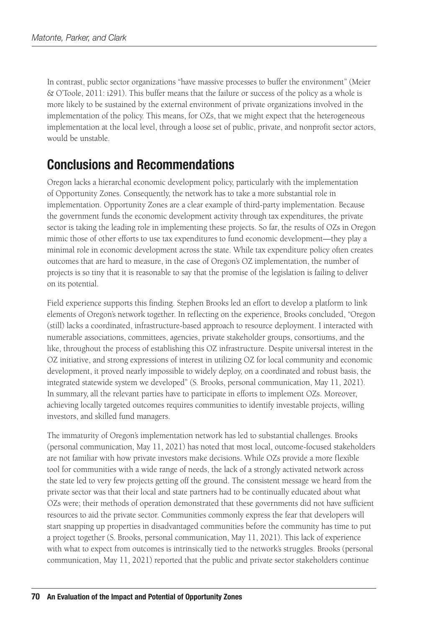In contrast, public sector organizations "have massive processes to buffer the environment" (Meier & O'Toole, 2011: i291). This buffer means that the failure or success of the policy as a whole is more likely to be sustained by the external environment of private organizations involved in the implementation of the policy. This means, for OZs, that we might expect that the heterogeneous implementation at the local level, through a loose set of public, private, and nonprofit sector actors, would be unstable.

# Conclusions and Recommendations

Oregon lacks a hierarchal economic development policy, particularly with the implementation of Opportunity Zones. Consequently, the network has to take a more substantial role in implementation. Opportunity Zones are a clear example of third-party implementation. Because the government funds the economic development activity through tax expenditures, the private sector is taking the leading role in implementing these projects. So far, the results of OZs in Oregon mimic those of other efforts to use tax expenditures to fund economic development—they play a minimal role in economic development across the state. While tax expenditure policy often creates outcomes that are hard to measure, in the case of Oregon's OZ implementation, the number of projects is so tiny that it is reasonable to say that the promise of the legislation is failing to deliver on its potential.

Field experience supports this finding. Stephen Brooks led an effort to develop a platform to link elements of Oregon's network together. In reflecting on the experience, Brooks concluded, "Oregon (still) lacks a coordinated, infrastructure-based approach to resource deployment. I interacted with numerable associations, committees, agencies, private stakeholder groups, consortiums, and the like, throughout the process of establishing this OZ infrastructure. Despite universal interest in the OZ initiative, and strong expressions of interest in utilizing OZ for local community and economic development, it proved nearly impossible to widely deploy, on a coordinated and robust basis, the integrated statewide system we developed" (S. Brooks, personal communication, May 11, 2021). In summary, all the relevant parties have to participate in efforts to implement OZs. Moreover, achieving locally targeted outcomes requires communities to identify investable projects, willing investors, and skilled fund managers.

The immaturity of Oregon's implementation network has led to substantial challenges. Brooks (personal communication, May 11, 2021) has noted that most local, outcome-focused stakeholders are not familiar with how private investors make decisions. While OZs provide a more flexible tool for communities with a wide range of needs, the lack of a strongly activated network across the state led to very few projects getting off the ground. The consistent message we heard from the private sector was that their local and state partners had to be continually educated about what OZs were; their methods of operation demonstrated that these governments did not have sufficient resources to aid the private sector. Communities commonly express the fear that developers will start snapping up properties in disadvantaged communities before the community has time to put a project together (S. Brooks, personal communication, May 11, 2021). This lack of experience with what to expect from outcomes is intrinsically tied to the network's struggles. Brooks (personal communication, May 11, 2021) reported that the public and private sector stakeholders continue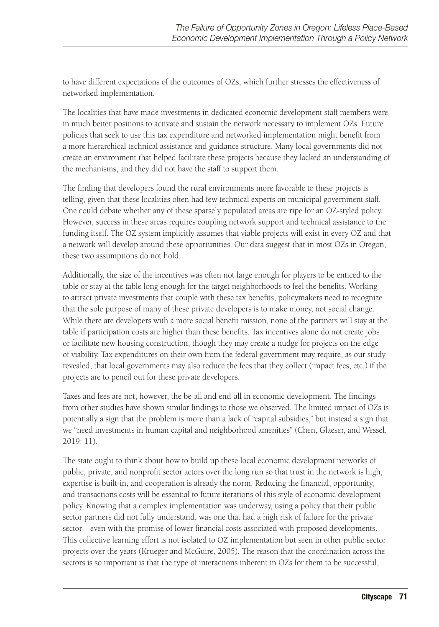to have different expectations of the outcomes of OZs, which further stresses the effectiveness of networked implementation.

The localities that have made investments in dedicated economic development staff members were in much better positions to activate and sustain the network necessary to implement OZs. Future policies that seek to use this tax expenditure and networked implementation might benefit from a more hierarchical technical assistance and guidance structure. Many local governments did not create an environment that helped facilitate these projects because they lacked an understanding of the mechanisms, and they did not have the staff to support them.

The finding that developers found the rural environments more favorable to these projects is telling, given that these localities often had few technical experts on municipal government staff. One could debate whether any of these sparsely populated areas are ripe for an OZ-styled policy. However, success in these areas requires coupling network support and technical assistance to the funding itself. The OZ system implicitly assumes that viable projects will exist in every OZ and that a network will develop around these opportunities. Our data suggest that in most OZs in Oregon, these two assumptions do not hold.

Additionally, the size of the incentives was often not large enough for players to be enticed to the table or stay at the table long enough for the target neighborhoods to feel the benefits. Working to attract private investments that couple with these tax benefits, policymakers need to recognize that the sole purpose of many of these private developers is to make money, not social change. While there are developers with a more social benefit mission, none of the partners will stay at the table if participation costs are higher than these benefits. Tax incentives alone do not create jobs or facilitate new housing construction, though they may create a nudge for projects on the edge of viability. Tax expenditures on their own from the federal government may require, as our study revealed, that local governments may also reduce the fees that they collect (impact fees, etc.) if the projects are to pencil out for these private developers.

Taxes and fees are not, however, the be-all and end-all in economic development. The findings from other studies have shown similar findings to those we observed. The limited impact of OZs is potentially a sign that the problem is more than a lack of "capital subsidies," but instead a sign that we "need investments in human capital and neighborhood amenities" (Chen, Glaeser, and Wessel, 2019: 11).

The state ought to think about how to build up these local economic development networks of public, private, and nonprofit sector actors over the long run so that trust in the network is high, expertise is built-in, and cooperation is already the norm. Reducing the financial, opportunity, and transactions costs will be essential to future iterations of this style of economic development policy. Knowing that a complex implementation was underway, using a policy that their public sector partners did not fully understand, was one that had a high risk of failure for the private sector—even with the promise of lower financial costs associated with proposed developments. This collective learning effort is not isolated to OZ implementation but seen in other public sector projects over the years (Krueger and McGuire, 2005). The reason that the coordination across the sectors is so important is that the type of interactions inherent in OZs for them to be successful,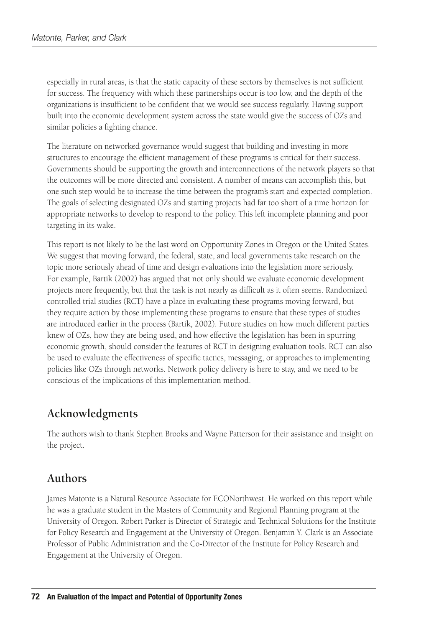especially in rural areas, is that the static capacity of these sectors by themselves is not sufficient for success. The frequency with which these partnerships occur is too low, and the depth of the organizations is insufficient to be confident that we would see success regularly. Having support built into the economic development system across the state would give the success of OZs and similar policies a fighting chance.

The literature on networked governance would suggest that building and investing in more structures to encourage the efficient management of these programs is critical for their success. Governments should be supporting the growth and interconnections of the network players so that the outcomes will be more directed and consistent. A number of means can accomplish this, but one such step would be to increase the time between the program's start and expected completion. The goals of selecting designated OZs and starting projects had far too short of a time horizon for appropriate networks to develop to respond to the policy. This left incomplete planning and poor targeting in its wake.

This report is not likely to be the last word on Opportunity Zones in Oregon or the United States. We suggest that moving forward, the federal, state, and local governments take research on the topic more seriously ahead of time and design evaluations into the legislation more seriously. For example, Bartik (2002) has argued that not only should we evaluate economic development projects more frequently, but that the task is not nearly as difficult as it often seems. Randomized controlled trial studies (RCT) have a place in evaluating these programs moving forward, but they require action by those implementing these programs to ensure that these types of studies are introduced earlier in the process (Bartik, 2002). Future studies on how much different parties knew of OZs, how they are being used, and how effective the legislation has been in spurring economic growth, should consider the features of RCT in designing evaluation tools. RCT can also be used to evaluate the effectiveness of specific tactics, messaging, or approaches to implementing policies like OZs through networks. Network policy delivery is here to stay, and we need to be conscious of the implications of this implementation method.

### **Acknowledgments**

The authors wish to thank Stephen Brooks and Wayne Patterson for their assistance and insight on the project.

### **Authors**

James Matonte is a Natural Resource Associate for ECONorthwest. He worked on this report while he was a graduate student in the Masters of Community and Regional Planning program at the University of Oregon. Robert Parker is Director of Strategic and Technical Solutions for the Institute for Policy Research and Engagement at the University of Oregon. Benjamin Y. Clark is an Associate Professor of Public Administration and the Co-Director of the Institute for Policy Research and Engagement at the University of Oregon.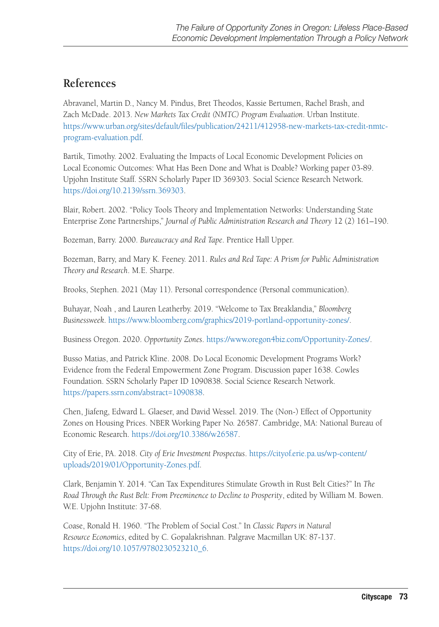### **References**

Abravanel, Martin D., Nancy M. Pindus, Bret Theodos, Kassie Bertumen, Rachel Brash, and Zach McDade. 2013. *New Markets Tax Credit (NMTC) Program Evaluation*. Urban Institute. [https://www.urban.org/sites/default/files/publication/24211/412958-new-markets-tax-credit-nmtc](https://www.urban.org/sites/default/files/publication/24211/412958-new-markets-tax-credit-nmtc-program-evaluation.pdf)[program-evaluation.pdf](https://www.urban.org/sites/default/files/publication/24211/412958-new-markets-tax-credit-nmtc-program-evaluation.pdf).

Bartik, Timothy. 2002. Evaluating the Impacts of Local Economic Development Policies on Local Economic Outcomes: What Has Been Done and What is Doable? Working paper 03-89. Upjohn Institute Staff. SSRN Scholarly Paper ID 369303. Social Science Research Network. [https://doi.org/10.2139/ssrn.369303.](https://doi.org/10.2139/ssrn.369303)

Blair, Robert. 2002. "Policy Tools Theory and Implementation Networks: Understanding State Enterprise Zone Partnerships," *Journal of Public Administration Research and Theory* 12 (2) 161–190.

Bozeman, Barry. 2000. *Bureaucracy and Red Tape*. Prentice Hall Upper.

Bozeman, Barry, and Mary K. Feeney. 2011. *Rules and Red Tape: A Prism for Public Administration Theory and Research*. M.E. Sharpe.

Brooks, Stephen. 2021 (May 11). Personal correspondence (Personal communication).

Buhayar, Noah , and Lauren Leatherby. 2019. "Welcome to Tax Breaklandia," *Bloomberg Businessweek*.<https://www.bloomberg.com/graphics/2019-portland-opportunity-zones/>.

Business Oregon. 2020. *Opportunity Zones*. [https://www.oregon4biz.com/Opportunity-Zones/.](https://www.oregon4biz.com/Opportunity-Zones/)

Busso Matias, and Patrick Kline. 2008. Do Local Economic Development Programs Work? Evidence from the Federal Empowerment Zone Program. Discussion paper 1638. Cowles Foundation. SSRN Scholarly Paper ID 1090838. Social Science Research Network. [https://papers.ssrn.com/abstract=1090838.](https://papers.ssrn.com/abstract=1090838)

Chen, Jiafeng, Edward L. Glaeser, and David Wessel. 2019. The (Non-) Effect of Opportunity Zones on Housing Prices. NBER Working Paper No. 26587. Cambridge, MA: National Bureau of Economic Research.<https://doi.org/10.3386/w26587>.

City of Erie, PA. 2018. *City of Erie Investment Prospectus*. [https://cityof.erie.pa.us/wp-content/](https://cityof.erie.pa.us/wp-content/uploads/2019/01/Opportunity-Zones.pdf) [uploads/2019/01/Opportunity-Zones.pdf](https://cityof.erie.pa.us/wp-content/uploads/2019/01/Opportunity-Zones.pdf).

Clark, Benjamin Y. 2014. "Can Tax Expenditures Stimulate Growth in Rust Belt Cities?" In *The Road Through the Rust Belt: From Preeminence to Decline to Prosperity*, edited by William M. Bowen. W.E. Upjohn Institute: 37-68.

Coase, Ronald H. 1960. "The Problem of Social Cost." In *Classic Papers in Natural Resource Economics*, edited by C. Gopalakrishnan. Palgrave Macmillan UK: 87-137. [https://doi.org/10.1057/9780230523210\\_6](https://doi.org/10.1057/9780230523210_6).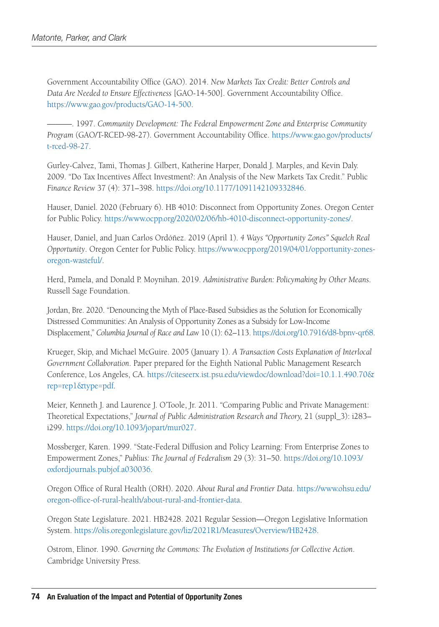Government Accountability Office (GAO). 2014. *New Markets Tax Credit: Better Controls and Data Are Needed to Ensure Effectiveness* [GAO-14-500]. Government Accountability Office. [https://www.gao.gov/products/GAO-14-500.](https://www.gao.gov/products/GAO-14-500)

———. 1997. *Community Development: The Federal Empowerment Zone and Enterprise Community Program* (GAO/T-RCED-98-27). Government Accountability Office. [https://www.gao.gov/products/](https://www.gao.gov/products/t-rced-98-27) [t-rced-98-27](https://www.gao.gov/products/t-rced-98-27).

Gurley-Calvez, Tami, Thomas J. Gilbert, Katherine Harper, Donald J. Marples, and Kevin Daly. 2009. "Do Tax Incentives Affect Investment?: An Analysis of the New Markets Tax Credit." Public *Finance Review* 37 (4): 371–398.<https://doi.org/10.1177/1091142109332846>.

Hauser, Daniel. 2020 (February 6). HB 4010: Disconnect from Opportunity Zones. Oregon Center for Public Policy. [https://www.ocpp.org/2020/02/06/hb-4010-disconnect-opportunity-zones/.](https://www.ocpp.org/2020/02/06/hb-4010-disconnect-opportunity-zones/)

Hauser, Daniel, and Juan Carlos Ordóñez. 2019 (April 1). *4 Ways "Opportunity Zones" Squelch Real Opportunity*. Oregon Center for Public Policy. [https://www.ocpp.org/2019/04/01/opportunity-zones](https://www.ocpp.org/2019/04/01/opportunity-zones-oregon-wasteful/)[oregon-wasteful/](https://www.ocpp.org/2019/04/01/opportunity-zones-oregon-wasteful/).

Herd, Pamela, and Donald P. Moynihan. 2019. *Administrative Burden: Policymaking by Other Means*. Russell Sage Foundation.

Jordan, Bre. 2020. "Denouncing the Myth of Place-Based Subsidies as the Solution for Economically Distressed Communities: An Analysis of Opportunity Zones as a Subsidy for Low-Income Displacement," *Columbia Journal of Race and Law* 10 (1): 62–113.<https://doi.org/10.7916/d8-bpnv-qr68>.

Krueger, Skip, and Michael McGuire. 2005 (January 1). *A Transaction Costs Explanation of Interlocal Government Collaboration*. Paper prepared for the Eighth National Public Management Research Conference, Los Angeles, CA. [https://citeseerx.ist.psu.edu/viewdoc/download?doi=10.1.1.490.70&](https://citeseerx.ist.psu.edu/viewdoc/download?doi=10.1.1.490.70&rep=rep1&type=pdf) [rep=rep1&type=pdf](https://citeseerx.ist.psu.edu/viewdoc/download?doi=10.1.1.490.70&rep=rep1&type=pdf).

Meier, Kenneth J. and Laurence J. O'Toole, Jr. 2011. "Comparing Public and Private Management: Theoretical Expectations," *Journal of Public Administration Research and Theory,* 21 (suppl\_3): i283– i299. [https://doi.org/10.1093/jopart/mur027.](https://doi.org/10.1093/jopart/mur027)

Mossberger, Karen. 1999. "State-Federal Diffusion and Policy Learning: From Enterprise Zones to Empowerment Zones," *Publius: The Journal of Federalism* 29 (3): 31–50. [https://doi.org/10.1093/](https://doi.org/10.1093/oxfordjournals.pubjof.a030036) [oxfordjournals.pubjof.a030036.](https://doi.org/10.1093/oxfordjournals.pubjof.a030036)

Oregon Office of Rural Health (ORH). 2020. *About Rural and Frontier Data*. [https://www.ohsu.edu/](https://www.ohsu.edu/oregon-office-of-rural-health/about-rural-and-frontier-data) [oregon-office-of-rural-health/about-rural-and-frontier-data.](https://www.ohsu.edu/oregon-office-of-rural-health/about-rural-and-frontier-data)

Oregon State Legislature. 2021. HB2428. 2021 Regular Session—Oregon Legislative Information System. [https://olis.oregonlegislature.gov/liz/2021R1/Measures/Overview/HB2428.](https://olis.oregonlegislature.gov/liz/2021R1/Measures/Overview/HB2428)

Ostrom, Elinor. 1990. *Governing the Commons: The Evolution of Institutions for Collective Action*. Cambridge University Press.